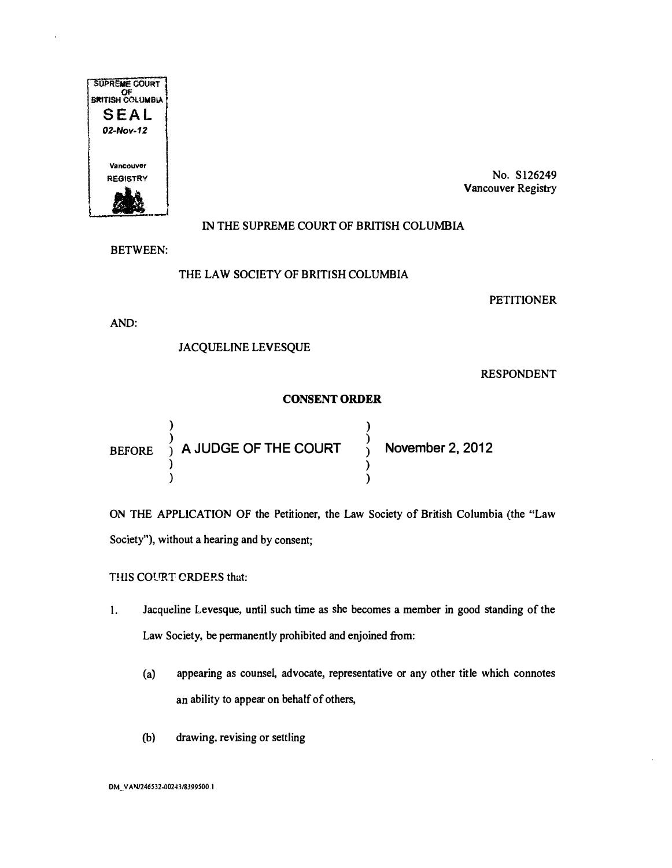

No. Sl26249 Vancouver Registry

## IN THE SUPREME COURT OF BRITISH COLUMBIA

BETWEEN:

## THE LAW SOCIETY OF BRITISH COLUMBIA

**PETITIONER** 

AND:

JACQUELINE LEVESQUE

RESPONDENT

## CONSENT ORDER

) and the contract of  $\overline{\phantom{a}}$  $\begin{array}{c} \texttt{BEFORE} \end{array}$   $\begin{array}{c} \texttt{A JUDGE OF THE COURT} \end{array}$ ) )<br>) November 2, 2012 ) ) )

ON THE APPLICATION OF the Petitioner, the Law Society of British Columbia (the "Law Society"), without a hearing and by consent;

THIS COURT ORDERS that:

- I. Jacqueline Levesque, until such time as she becomes a member in good standing of the Law Society, be permanently prohibited and enjoined from:
	- (a) appearing as counsel, advocate, representative or any other title which connotes an ability to appear on behalf of others,
	- (b) drawing. revising or settling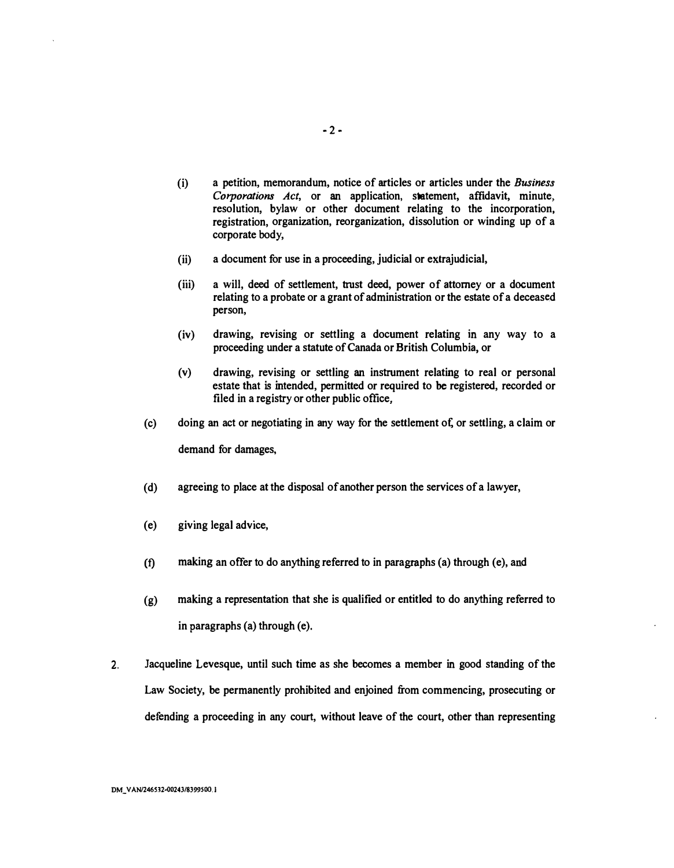- (i) a petition, memorandum, notice of articles or articles under the Business Corporations Act, or an application, statement, affidavit, minute, resolution, bylaw or other document relating to the incorporation, registration, organization, reorganization, dissolution or winding up of a corporate body,
- (ii) a document for use in a proceeding, judicial or extrajudicial,
- (iii) a will, deed of settlement, trust deed, power of attorney or a document relating to a probate or a grant of administration or the estate of a deceased person,
- (iv) drawing, revising or settling a document relating in any way to a proceeding under a statute of Canada or British Columbia, or
- (v) drawing, revising or settling an instrument relating to real or personal estate that is intended, permitted or required to be registered, recorded or filed in a registry or other public office,
- (c) doing an act or negotiating in any way for the settlement ol; or settling, a claim or demand for damages,
- (d) agreeing to place at the disposal of another person the services of a lawyer,
- (e) giving legal advice,
- (f) making an offer to do anything referred to in paragraphs (a) through (e), and
- (g) making a representation that she is qualified or entitled to do anything referred to in paragraphs (a) through (e).
- 2. Jacqueline Levesque, until such time as she becomes a member in good standing of the Law Society, be permanently prohibited and enjoined from commencing, prosecuting or defending a proceeding in any court, without leave of the court, other than representing